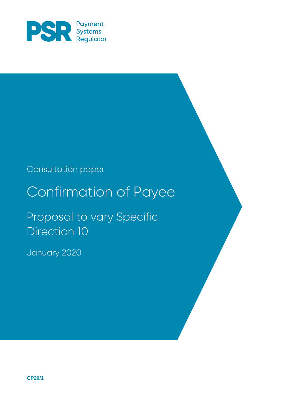

## Consultation paper

## Confirmation of Payee

Proposal to vary Specific Direction 10

January 2020

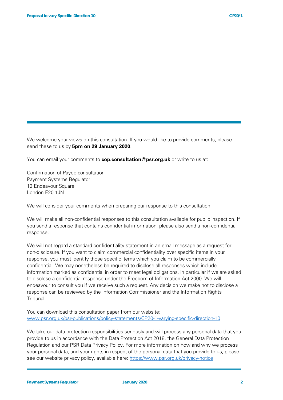We welcome your views on this consultation. If you would like to provide comments, please send these to us by **5pm on 29 January 2020**.

You can email your comments to **cop.consultation@psr.org.uk** or write to us at:

Confirmation of Payee consultation Payment Systems Regulator 12 Endeavour Square London E20 1JN

We will consider your comments when preparing our response to this consultation.

We will make all non-confidential responses to this consultation available for public inspection. If you send a response that contains confidential information, please also send a non-confidential response.

We will not regard a standard confidentiality statement in an email message as a request for non-disclosure. If you want to claim commercial confidentiality over specific items in your response, you must identify those specific items which you claim to be commercially confidential. We may nonetheless be required to disclose all responses which include information marked as confidential in order to meet legal obligations, in particular if we are asked to disclose a confidential response under the Freedom of Information Act 2000. We will endeavour to consult you if we receive such a request. Any decision we make not to disclose a response can be reviewed by the Information Commissioner and the Information Rights Tribunal.

You can download this consultation paper from our website: [www.psr.org.uk/psr-publications/policy-statements/CP20-1-varying-specific-direction-10](http://www.psr.org.uk/psr-publications/policy-statements/CP20-1-varying-specific-direction-10)

We take our data protection responsibilities seriously and will process any personal data that you provide to us in accordance with the Data Protection Act 2018, the General Data Protection Regulation and our PSR Data Privacy Policy. For more information on how and why we process your personal data, and your rights in respect of the personal data that you provide to us, please see our website privacy policy, available here:<https://www.psr.org.uk/privacy-notice>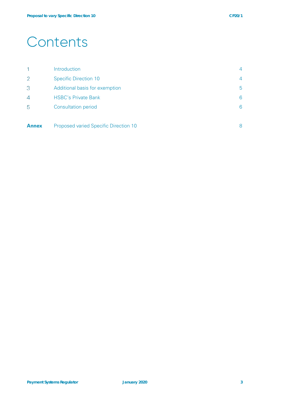## **Contents**

|                | Introduction                          | 4 |
|----------------|---------------------------------------|---|
| $\overline{2}$ | <b>Specific Direction 10</b>          | 4 |
| 3              | Additional basis for exemption        | 5 |
| $\overline{4}$ | <b>HSBC's Private Bank</b>            | 6 |
| 5              | <b>Consultation period</b>            | 6 |
|                |                                       |   |
| <b>Annex</b>   | Proposed varied Specific Direction 10 | 8 |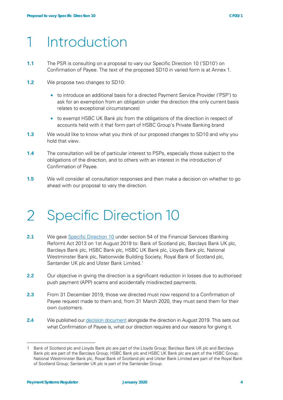## Introduction

- **1.1** The PSR is consulting on a proposal to vary our Specific Direction 10 ('SD10') on Confirmation of Payee. The text of the proposed SD10 in varied form is at Annex 1.
- **1.2** We propose two changes to SD10:
	- to introduce an additional basis for a directed Payment Service Provider ('PSP') to ask for an exemption from an obligation under the direction (the only current basis relates to exceptional circumstances)
	- to exempt HSBC UK Bank plc from the obligations of the direction in respect of accounts held with it that form part of HSBC Group's Private Banking brand
- **1.3** We would like to know what you think of our proposed changes to SD10 and why you hold that view.
- **1.4** The consultation will be of particular interest to PSPs, especially those subject to the obligations of the direction, and to others with an interest in the introduction of Confirmation of Payee.
- **1.5** We will consider all consultation responses and then make a decision on whether to go ahead with our proposal to vary the direction.

#### $\overline{2}$ Specific Direction 10

- **2.1** We gave [Specific Direction 10](https://www.psr.org.uk/sites/default/files/media/PDF/PSR-PS194-SD10-Confirmation-of-Payee.pdf) under section 54 of the Financial Services (Banking Reform) Act 2013 on 1st August 2019 to: Bank of Scotland plc, Barclays Bank UK plc, Barclays Bank plc, HSBC Bank plc, HSBC UK Bank plc, Lloyds Bank plc, National Westminster Bank plc, Nationwide Building Society, Royal Bank of Scotland plc, Santander UK plc and Ulster Bank Limited.<sup>[1](#page-3-0)</sup>
- **2.2** Our objective in giving the direction is a significant reduction in losses due to authorised push payment (APP) scams and accidentally misdirected payments.
- **2.3** From 31 December 2019, those we directed must now respond to a Confirmation of Payee request made to them and, from 31 March 2020, they must send them for their own customers.
- **2.4** We published our [decision document](https://www.psr.org.uk/psr-publications/policy-statements/cp194-responses-and-our-decision-on-cop) alongside the direction in August 2019. This sets out what Confirmation of Payee is, what our direction requires and our reasons for giving it.

<span id="page-3-0"></span><sup>1</sup> Bank of Scotland plc and Lloyds Bank plc are part of the Lloyds Group; Barclays Bank UK plc and Barclays Bank plc are part of the Barclays Group; HSBC Bank plc and HSBC UK Bank plc are part of the HSBC Group; National Westminster Bank plc, Royal Bank of Scotland plc and Ulster Bank Limited are part of the Royal Bank of Scotland Group; Santander UK plc is part of the Santander Group.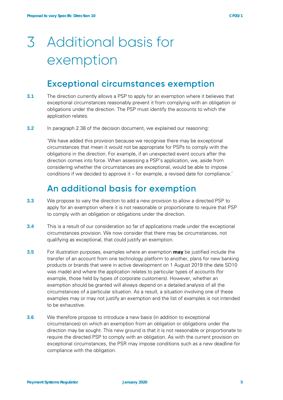# Additional basis for exemption

### **Exceptional circumstances exemption**

- **3.1** The direction currently allows a PSP to apply for an exemption where it believes that exceptional circumstances reasonably prevent it from complying with an obligation or obligations under the direction. The PSP must identify the accounts to which the application relates.
- **3.2** In paragraph 2.38 of the decision document, we explained our reasoning:

'We have added this provision because we recognise there may be exceptional circumstances that mean it would not be appropriate for PSPs to comply with the obligations in the direction. For example, if an unexpected event occurs after the direction comes into force. When assessing a PSP's application, we, aside from considering whether the circumstances are exceptional, would be able to impose conditions if we decided to approve it – for example, a revised date for compliance.'

### **An additional basis for exemption**

- **3.3** We propose to vary the direction to add a new provision to allow a directed PSP to apply for an exemption where it is not reasonable or proportionate to require that PSP to comply with an obligation or obligations under the direction.
- **3.4** This is a result of our consideration so far of applications made under the exceptional circumstances provision. We now consider that there may be circumstances, not qualifying as exceptional, that could justify an exemption.
- **3.5** For illustration purposes, examples where an exemption **may** be justified include the transfer of an account from one technology platform to another, plans for new banking products or brands that were in active development on 1 August 2019 (the date SD10 was made) and where the application relates to particular types of accounts (for example, those held by types of corporate customers). However, whether an exemption should be granted will always depend on a detailed analysis of all the circumstances of a particular situation. As a result, a situation involving one of these examples may or may not justify an exemption and the list of examples is not intended to be exhaustive.
- **3.6** We therefore propose to introduce a new basis (in addition to exceptional circumstances) on which an exemption from an obligation or obligations under the direction may be sought. This new ground is that it is not reasonable or proportionate to require the directed PSP to comply with an obligation. As with the current provision on exceptional circumstances, the PSR may impose conditions such as a new deadline for compliance with the obligation.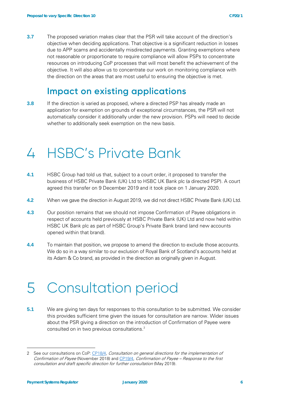**3.7** The proposed variation makes clear that the PSR will take account of the direction's objective when deciding applications. That objective is a significant reduction in losses due to APP scams and accidentally misdirected payments. Granting exemptions where not reasonable or proportionate to require compliance will allow PSPs to concentrate resources on introducing CoP processes that will most benefit the achievement of the objective. It will also allow us to concentrate our work on monitoring compliance with the direction on the areas that are most useful to ensuring the objective is met.

## **Impact on existing applications**

**3.8** If the direction is varied as proposed, where a directed PSP has already made an application for exemption on grounds of exceptional circumstances, the PSR will not automatically consider it additionally under the new provision. PSPs will need to decide whether to additionally seek exemption on the new basis.

#### HSBC's Private Bank  $\perp$

- **4.1** HSBC Group had told us that, subject to a court order, it proposed to transfer the business of HSBC Private Bank (UK) Ltd to HSBC UK Bank plc (a directed PSP). A court agreed this transfer on 9 December 2019 and it took place on 1 January 2020.
- **4.2** When we gave the direction in August 2019, we did not direct HSBC Private Bank (UK) Ltd.
- **4.3** Our position remains that we should not impose Confirmation of Payee obligations in respect of accounts held previously at HSBC Private Bank (UK) Ltd and now held within HSBC UK Bank plc as part of HSBC Group's Private Bank brand (and new accounts opened within that brand).
- **4.4** To maintain that position, we propose to amend the direction to exclude those accounts. We do so in a way similar to our exclusion of Royal Bank of Scotland's accounts held at its Adam & Co brand, as provided in the direction as originally given in August.

## Consultation period

**5.1** We are giving ten days for responses to this consultation to be submitted. We consider this provides sufficient time given the issues for consultation are narrow. Wider issues about the PSR giving a direction on the introduction of Confirmation of Payee were consulted on in two previous consultations. [2](#page-5-0)

<span id="page-5-0"></span><sup>2</sup> See our consultations on CoP: [CP18/4,](https://www.psr.org.uk/psr-publications/consultations/cp-18-4-consultation-general-directions-implementing-cop) Consultation on general directions for the implementation of Confirmation of Payee (November 2018) and [CP19/4,](https://www.psr.org.uk/psr-publications/consultations/cp194-consultation-specific-direction-cop) Confirmation of Payee – Response to the first consultation and draft specific direction for further consultation (May 2019).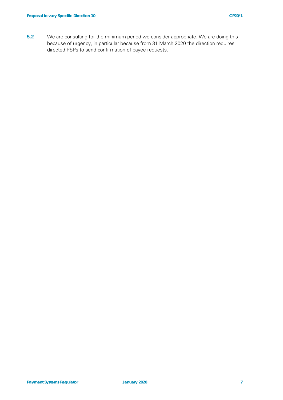**5.2** We are consulting for the minimum period we consider appropriate. We are doing this because of urgency, in particular because from 31 March 2020 the direction requires directed PSPs to send confirmation of payee requests.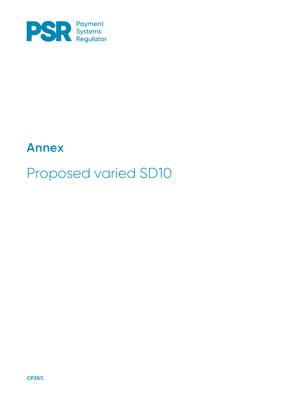

## **Annex**

## Proposed varied SD10

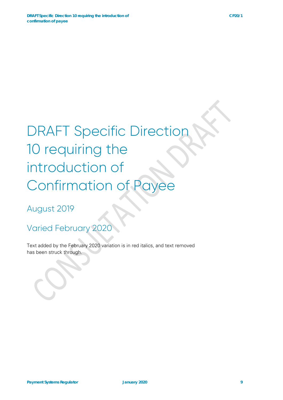# DRAFT Specific Direction 10 requiring the introduction of Confirmation of F

August 2019

Varied February 2020

Text added by the February 2020 variation is in red italics, and text removed has been struck through.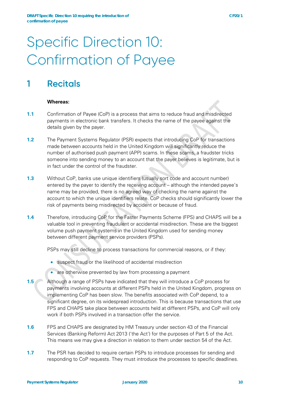## Specific Direction 10: Confirmation of Payee

## **1 Recitals**

#### **Whereas:**

- **1.1** Confirmation of Payee (CoP) is a process that aims to reduce fraud and misdirected payments in electronic bank transfers. It checks the name of the payee against the details given by the payer.
- **1.2** The Payment Systems Regulator (PSR) expects that introducing CoP for transactions made between accounts held in the United Kingdom will significantly reduce the number of authorised push payment (APP) scams. In these scams, a fraudster tricks someone into sending money to an account that the payer believes is legitimate, but is in fact under the control of the fraudster.
- **1.3** Without CoP, banks use unique identifiers (usually sort code and account number) entered by the payer to identify the receiving account – although the intended payee's name may be provided, there is no agreed way of checking the name against the account to which the unique identifiers relate. CoP checks should significantly lower the risk of payments being misdirected by accident or because of fraud.
- **1.4** Therefore, introducing CoP for the Faster Payments Scheme (FPS) and CHAPS will be a valuable tool in preventing fraudulent or accidental misdirection. These are the biggest volume push payment systems in the United Kingdom used for sending money between different payment service providers (PSPs).

PSPs may still decline to process transactions for commercial reasons, or if they:

- suspect fraud or the likelihood of accidental misdirection
- are otherwise prevented by law from processing a payment
- **1.5** Although a range of PSPs have indicated that they will introduce a CoP process for payments involving accounts at different PSPs held in the United Kingdom, progress on implementing CoP has been slow. The benefits associated with CoP depend, to a significant degree, on its widespread introduction. This is because transactions that use FPS and CHAPS take place between accounts held at different PSPs, and CoP will only work if both PSPs involved in a transaction offer the service.
- **1.6** FPS and CHAPS are designated by HM Treasury under section 43 of the Financial Services (Banking Reform) Act 2013 ('the Act') for the purposes of Part 5 of the Act. This means we may give a direction in relation to them under section 54 of the Act.
- **1.7** The PSR has decided to require certain PSPs to introduce processes for sending and responding to CoP requests. They must introduce the processes to specific deadlines.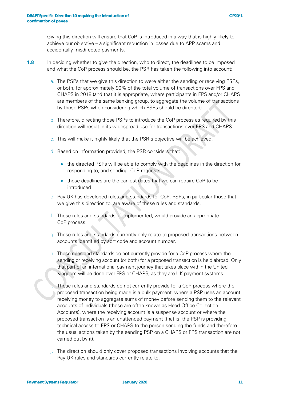Giving this direction will ensure that CoP is introduced in a way that is highly likely to achieve our objective – a significant reduction in losses due to APP scams and accidentally misdirected payments.

- **1.8** In deciding whether to give the direction, who to direct, the deadlines to be imposed and what the CoP process should be, the PSR has taken the following into account:
	- a. The PSPs that we give this direction to were either the sending or receiving PSPs, or both, for approximately 90% of the total volume of transactions over FPS and CHAPS in 2018 (and that it is appropriate, where participants in FPS and/or CHAPS are members of the same banking group, to aggregate the volume of transactions by those PSPs when considering which PSPs should be directed).
	- b. Therefore, directing those PSPs to introduce the CoP process as required by this direction will result in its widespread use for transactions over FPS and CHAPS.
	- c. This will make it highly likely that the PSR's objective will be achieved.
	- d. Based on information provided, the PSR considers that:
		- the directed PSPs will be able to comply with the deadlines in the direction for responding to, and sending, CoP requests
		- those deadlines are the earliest dates that we can require CoP to be introduced
	- e. Pay.UK has developed rules and standards for CoP. PSPs, in particular those that we give this direction to, are aware of these rules and standards.
	- f. Those rules and standards, if implemented, would provide an appropriate CoP process.
	- g. Those rules and standards currently only relate to proposed transactions between accounts identified by sort code and account number.
	- h. Those rules and standards do not currently provide for a CoP process where the sending or receiving account (or both) for a proposed transaction is held abroad. Only that part of an international payment journey that takes place within the United Kingdom will be done over FPS or CHAPS, as they are UK payment systems.
	- Those rules and standards do not currently provide for a CoP process where the proposed transaction being made is a bulk payment, where a PSP uses an account receiving money to aggregate sums of money before sending them to the relevant accounts of individuals (these are often known as Head Office Collection Accounts), where the receiving account is a suspense account or where the proposed transaction is an unattended payment (that is, the PSP is providing technical access to FPS or CHAPS to the person sending the funds and therefore the usual actions taken by the sending PSP on a CHAPS or FPS transaction are not carried out by it).
	- j. The direction should only cover proposed transactions involving accounts that the Pay.UK rules and standards currently relate to.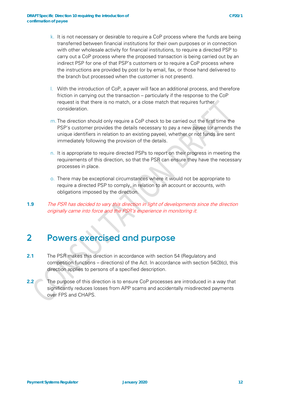- l. With the introduction of CoP, a payer will face an additional process, and therefore friction in carrying out the transaction – particularly if the response to the CoP request is that there is no match, or a close match that requires further consideration.
- m. The direction should only require a CoP check to be carried out the first time the PSP's customer provides the details necessary to pay a new payee (or amends the unique identifiers in relation to an existing payee), whether or not funds are sent immediately following the provision of the details.
- n. It is appropriate to require directed PSPs to report on their progress in meeting the requirements of this direction, so that the PSR can ensure they have the necessary processes in place.
- o. There may be exceptional circumstances where it would not be appropriate to require a directed PSP to comply, in relation to an account or accounts, with obligations imposed by the direction.
- **1.9** The PSR has decided to vary this direction in light of developments since the direction originally came into force and the PSR's experience in monitoring it.

## **2 Powers exercised and purpose**

- **2.1** The PSR makes this direction in accordance with section 54 (Regulatory and competition functions – directions) of the Act. In accordance with section 54(3)(c), this direction applies to persons of a specified description.
- **2.2** The purpose of this direction is to ensure CoP processes are introduced in a way that significantly reduces losses from APP scams and accidentally misdirected payments over FPS and CHAPS.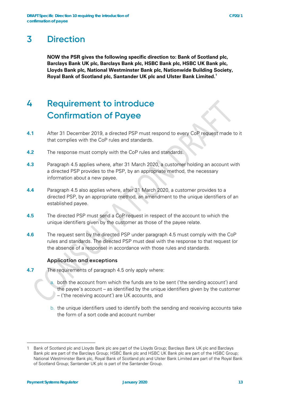### **3 Direction**

**NOW the PSR gives the following specific direction to: Bank of Scotland plc, Barclays Bank UK plc, Barclays Bank plc, HSBC Bank plc, HSBC UK Bank plc, Lloyds Bank plc, National Westminster Bank plc, Nationwide Building Society, Royal Bank of Scotland plc, Santander UK plc and Ulster Bank Limited[.1](#page-12-0)**

## **4 Requirement to introduce Confirmation of Payee**

- **4.1** After 31 December 2019, a directed PSP must respond to every CoP request made to it that complies with the CoP rules and standards.
- **4.2** The response must comply with the CoP rules and standards.
- **4.3** Paragraph 4.5 applies where, after 31 March 2020, a customer holding an account with a directed PSP provides to the PSP, by an appropriate method, the necessary information about a new payee.
- **4.4** Paragraph 4.5 also applies where, after 31 March 2020, a customer provides to a directed PSP, by an appropriate method, an amendment to the unique identifiers of an established payee.
- **4.5** The directed PSP must send a CoP request in respect of the account to which the unique identifiers given by the customer as those of the payee relate.
- **4.6** The request sent by the directed PSP under paragraph 4.5 must comply with the CoP rules and standards. The directed PSP must deal with the response to that request (or the absence of a response) in accordance with those rules and standards.

#### **Application and exceptions**

- **4.7** The requirements of paragraph 4.5 only apply where:
	- both the account from which the funds are to be sent ('the sending account') and the payee's account – as identified by the unique identifiers given by the customer – ('the receiving account') are UK accounts, and
	- b. the unique identifiers used to identify both the sending and receiving accounts take the form of a sort code and account number

<span id="page-12-0"></span><sup>1</sup> Bank of Scotland plc and Lloyds Bank plc are part of the Lloyds Group; Barclays Bank UK plc and Barclays Bank plc are part of the Barclays Group; HSBC Bank plc and HSBC UK Bank plc are part of the HSBC Group; National Westminster Bank plc, Royal Bank of Scotland plc and Ulster Bank Limited are part of the Royal Bank of Scotland Group; Santander UK plc is part of the Santander Group.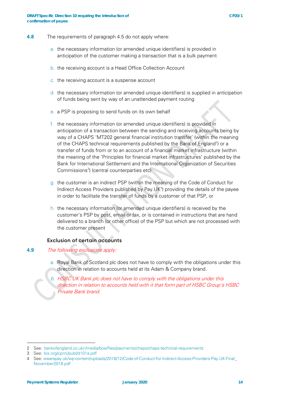- **4.8** The requirements of paragraph 4.5 do not apply where:
	- a. the necessary information (or amended unique identifiers) is provided in anticipation of the customer making a transaction that is a bulk payment
	- b. the receiving account is a Head Office Collection Account
	- c. the receiving account is a suspense account
	- d. the necessary information (or amended unique identifiers) is supplied in anticipation of funds being sent by way of an unattended payment routing
	- e. a PSP is proposing to send funds on its own behalf
	- f. the necessary information (or amended unique identifiers) is provided in anticipation of a transaction between the sending and receiving accounts being by way of a CHAPS 'MT202 general financial institution transfer' (within the meaning of the CHAPS technical requirements published by the Bank of England<sup>[2](#page-13-0)</sup>) or a transfer of funds from or to an account of a financial market infrastructure (within the meaning of the 'Principles for financial market infrastructures' published by the Bank for International Settlement and the International Organization of Securities Commissions<sup>[3](#page-13-1)</sup>) (central counterparties etc)
	- g. the customer is an indirect PSP (within the meaning of the Code of Conduct for Indirect Access Providers published by Pay.UK<sup>[4](#page-13-2)</sup>) providing the details of the payee in order to facilitate the transfer of funds by a customer of that PSP, or
	- h. the necessary information (or amended unique identifiers) is received by the customer's PSP by post, email or fax, or is contained in instructions that are hand delivered to a branch (or other office) of the PSP but which are not processed with the customer present

#### **Exclusion of certain accounts**

#### **4.9** The following exclusions apply:

a. Royal Bank of Scotland plc does not have to comply with the obligations under this direction in relation to accounts held at its Adam & Company brand.

b. HSBC UK Bank plc does not have to comply with the obligations under this direction in relation to accounts held with it that form part of HSBC Group's HSBC Private Bank brand.

<span id="page-13-0"></span><sup>2</sup> See: [bankofengland.co.uk/-/media/boe/files/payments/chaps/chaps-technical-requirements](http://bankofengland.co.uk/-/media/boe/files/payments/chaps/chaps-technical-requirements)

<span id="page-13-1"></span><sup>3</sup> See: [bis.org/cpmi/publ/d101a.pdf](http://bis.org/cpmi/publ/d101a.pdf)

<span id="page-13-2"></span><sup>4</sup> See: [wearepay.uk/wp-content/uploads/2018/12/Code-of-Conduct-for-Indirect-Access-Providers-Pay.UK-Final\\_](https://www.wearepay.uk/wp-content/uploads/2018/12/Code-of-Conduct-for-Indirect-Access-Providers-Pay.UK-Final_November2018.pdf) [November2018.pdf](https://www.wearepay.uk/wp-content/uploads/2018/12/Code-of-Conduct-for-Indirect-Access-Providers-Pay.UK-Final_November2018.pdf)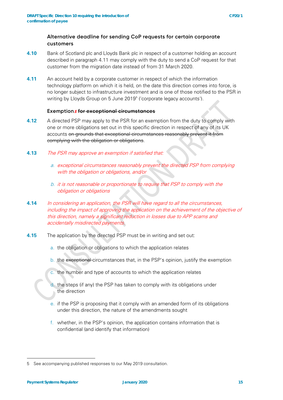#### **Alternative deadline for sending CoP requests for certain corporate customers**

- **4.10** Bank of Scotland plc and Lloyds Bank plc in respect of a customer holding an account described in paragraph 4.11 may comply with the duty to send a CoP request for that customer from the migration date instead of from 31 March 2020.
- **4.11** An account held by a corporate customer in respect of which the information technology platform on which it is held, on the date this direction comes into force, is no longer subject to infrastructure investment and is one of those notified to the PSR in writing by Lloyds Group on [5](#page-14-0) June 2019<sup>5</sup> ('corporate legacy accounts').

#### **Exemption<sup>s</sup> for exceptional circumstances**

- **4.12** A directed PSP may apply to the PSR for an exemption from the duty to comply with one or more obligations set out in this specific direction in respect of any of its UK accounts on grounds that exceptional circumstances reasonably prevent it from complying with the obligation or obligations.
- **4.13** The PSR may approve an exemption if satisfied that:
	- a. exceptional circumstances reasonably prevent the directed PSP from complying with the obligation or obligations, and/or
	- b. it is not reasonable or proportionate to require that PSP to comply with the obligation or obligations
- **4.14** In considering an application, the PSR will have regard to all the circumstances, including the impact of approving the application on the achievement of the objective of this direction, namely a significant reduction in losses due to APP scams and accidentally misdirected payments.
- **4.15** The application by the directed PSP must be in writing and set out:
	- a. the obligation or obligations to which the application relates
	- b. the exceptional circumstances that, in the PSP's opinion, justify the exemption
	- c. the number and type of accounts to which the application relates
	- d. the steps (if any) the PSP has taken to comply with its obligations under the direction
	- e. if the PSP is proposing that it comply with an amended form of its obligations under this direction, the nature of the amendments sought
	- f. whether, in the PSP's opinion, the application contains information that is confidential (and identify that information)

<span id="page-14-0"></span><sup>5</sup> See accompanying published responses to our May 2019 consultation.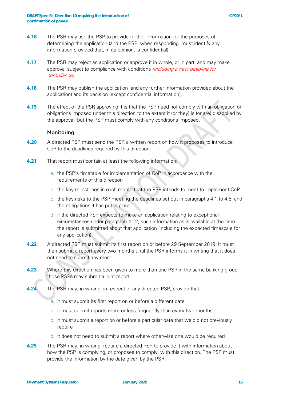- **4.17** The PSR may reject an application or approve it in whole, or in part, and may make approval subject to compliance with conditions *(including a new deadline for* compliance).
- **4.18** The PSR may publish the application (and any further information provided about the application) and its decision (except confidential information).
- **4.19** The effect of the PSR approving it is that the PSP need not comply with an obligation or obligations imposed under this direction to the extent it (or they) is (or are) disapplied by the approval, but the PSP must comply with any conditions imposed.

#### **Monitoring**

- **4.20** A directed PSP must send the PSR a written report on how it proposes to introduce CoP to the deadlines required by this direction.
- **4.21** That report must contain at least the following information:
	- a. the PSP's timetable for implementation of CoP in accordance with the requirements of this direction
	- b. the key milestones in each month that the PSP intends to meet to implement CoP
	- c. the key risks to the PSP meeting the deadlines set out in paragraphs 4.1 to 4.5, and the mitigations it has put in place
	- d. if the directed PSP expects to make an application relating to exceptional circumstances under paragraph 4.12, such information as is available at the time the report is submitted about that application (including the expected timescale for any application)
- **4.22** A directed PSP must submit its first report on or before 29 September 2019. It must then submit a report every two months until the PSR informs it in writing that it does not need to submit any more.
- **4.23** Where this direction has been given to more than one PSP in the same banking group, those PSPs may submit a joint report.
- **4.24** The PSR may, in writing, in respect of any directed PSP, provide that:
	- a. it must submit its first report on or before a different date
	- b. it must submit reports more or less frequently than every two months
	- c. it must submit a report on or before a particular date that we did not previously require
	- d. it does not need to submit a report where otherwise one would be required
- **4.25** The PSR may, in writing, require a directed PSP to provide it with information about how the PSP is complying, or proposes to comply, with this direction. The PSP must provide the information by the date given by the PSR.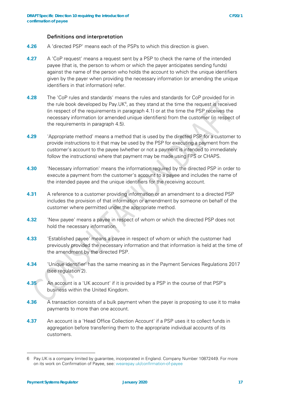#### **Definitions and interpretation**

- **4.26** A 'directed PSP' means each of the PSPs to which this direction is given.
- **4.27** A 'CoP request' means a request sent by a PSP to check the name of the intended payee (that is, the person to whom or which the payer anticipates sending funds) against the name of the person who holds the account to which the unique identifiers given by the payer when providing the necessary information (or amending the unique identifiers in that information) refer.
- **4.28** The 'CoP rules and standards' means the rules and standards for CoP provided for in the rule book developed by Pay. UK $<sup>6</sup>$  $<sup>6</sup>$  $<sup>6</sup>$ , as they stand at the time the request is received</sup> (in respect of the requirements in paragraph 4.1) or at the time the PSP receives the necessary information (or amended unique identifiers) from the customer (in respect of the requirements in paragraph 4.5).
- **4.29** 'Appropriate method' means a method that is used by the directed PSP for a customer to provide instructions to it that may be used by the PSP for executing a payment from the customer's account to the payee (whether or not a payment is intended to immediately follow the instructions) where that payment may be made using FPS or CHAPS.
- **4.30** 'Necessary information' means the information required by the directed PSP in order to execute a payment from the customer's account to a payee and includes the name of the intended payee and the unique identifiers for the receiving account.
- **4.31** A reference to a customer providing information or an amendment to a directed PSP includes the provision of that information or amendment by someone on behalf of the customer where permitted under the appropriate method.
- **4.32** 'New payee' means a payee in respect of whom or which the directed PSP does not hold the necessary information.
- **4.33** 'Established payee' means a payee in respect of whom or which the customer had previously provided the necessary information and that information is held at the time of the amendment by the directed PSP.
- **4.34** 'Unique identifier' has the same meaning as in the Payment Services Regulations 2017 (see regulation 2).
- **4.35** An account is a 'UK account' if it is provided by a PSP in the course of that PSP's business within the United Kingdom.
- **4.36** A transaction consists of a bulk payment when the payer is proposing to use it to make payments to more than one account.
- **4.37** An account is a 'Head Office Collection Account' if a PSP uses it to collect funds in aggregation before transferring them to the appropriate individual accounts of its customers.

<span id="page-16-0"></span><sup>6</sup> Pay.UK is a company limited by guarantee, incorporated in England. Company Number 10872449. For more on its work on Confirmation of Payee, see: [wearepay.uk/confirmation-of-payee](http://wearepay.uk/confirmation-of-payee)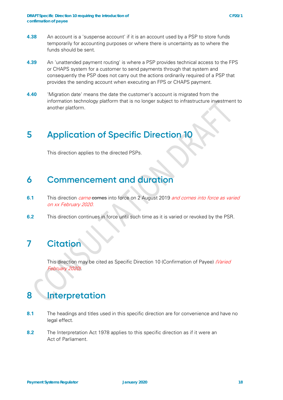- **4.39** An 'unattended payment routing' is where a PSP provides technical access to the FPS or CHAPS system for a customer to send payments through that system and consequently the PSP does not carry out the actions ordinarily required of a PSP that provides the sending account when executing an FPS or CHAPS payment.
- **4.40** 'Migration date' means the date the customer's account is migrated from the information technology platform that is no longer subject to infrastructure investment to another platform.

## **5 Application of Specific Direction 10**

This direction applies to the directed PSPs.

### **6 Commencement and duration**

- **6.1** This direction *came* comes into force on 2 August 2019 *and comes into force as varied* on xx February 2020.
- **6.2** This direction continues in force until such time as it is varied or revoked by the PSR.

## **7 Citation**

This direction may be cited as Specific Direction 10 (Confirmation of Payee) (Varied February 2020).

### **8 Interpretation**

- **8.1** The headings and titles used in this specific direction are for convenience and have no legal effect.
- **8.2** The Interpretation Act 1978 applies to this specific direction as if it were an Act of Parliament.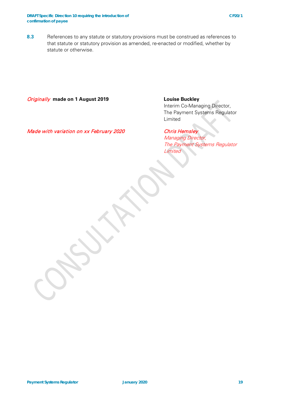#### Originally **made on 1 August 2019 Louise Buckley**

Interim Co-Managing Director, The Payment Systems Regulator Limited

Made with variation on xx February 2020 Chris Hemsley

Managing Director, The Payment Systems Regulator **Limited**